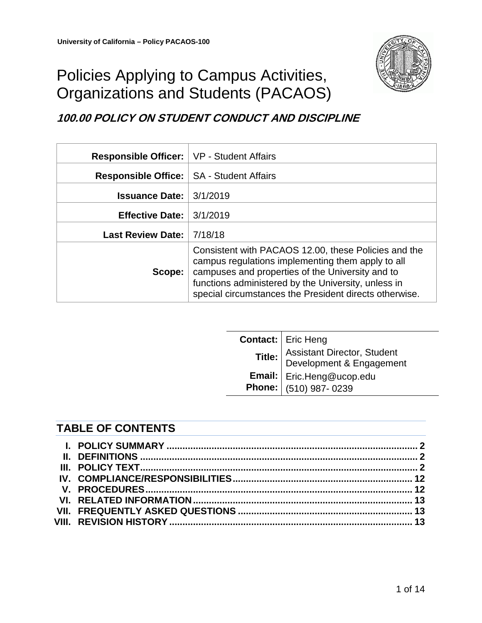

# Policies Applying to Campus Activities, Organizations and Students (PACAOS)

# **100.00 POLICY ON STUDENT CONDUCT AND DISCIPLINE**

| Responsible Officer:   VP - Student Affairs |                                                                                                                                                                                                                                                                                |
|---------------------------------------------|--------------------------------------------------------------------------------------------------------------------------------------------------------------------------------------------------------------------------------------------------------------------------------|
| Responsible Office:   SA - Student Affairs  |                                                                                                                                                                                                                                                                                |
| <b>Issuance Date:</b>                       | 3/1/2019                                                                                                                                                                                                                                                                       |
| <b>Effective Date:</b>                      | 3/1/2019                                                                                                                                                                                                                                                                       |
| <b>Last Review Date:</b>                    | 7/18/18                                                                                                                                                                                                                                                                        |
| Scope:                                      | Consistent with PACAOS 12.00, these Policies and the<br>campus regulations implementing them apply to all<br>campuses and properties of the University and to<br>functions administered by the University, unless in<br>special circumstances the President directs otherwise. |

| <b>Contact:</b>   Eric Heng                                                               |
|-------------------------------------------------------------------------------------------|
| Title: Assistant Director, Student<br>Email: Eric.Heng@ucop.edu<br>Phone: (510) 987- 0239 |
|                                                                                           |
|                                                                                           |

# **TABLE OF CONTENTS**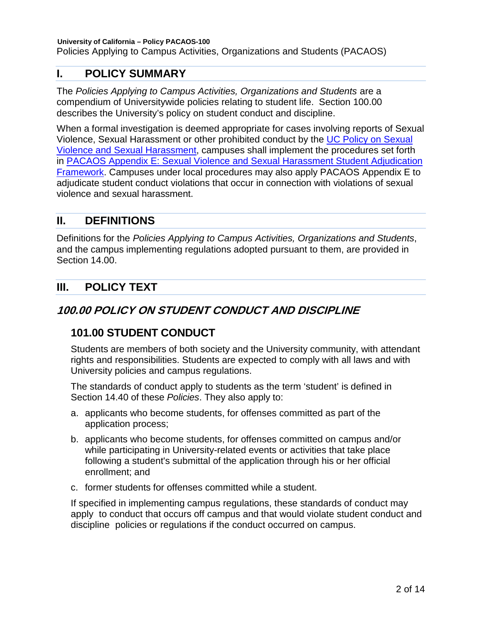Policies Applying to Campus Activities, Organizations and Students (PACAOS)

# <span id="page-1-0"></span>**I. POLICY SUMMARY**

The *Policies Applying to Campus Activities, Organizations and Students* are a compendium of Universitywide policies relating to student life. Section 100.00 describes the University's policy on student conduct and discipline.

When a formal investigation is deemed appropriate for cases involving reports of Sexual Violence, Sexual Harassment or other prohibited conduct by the [UC Policy on Sexual](https://policy.ucop.edu/doc/4000385/SVSH)  [Violence and Sexual Harassment,](https://policy.ucop.edu/doc/4000385/SVSH) campuses shall implement the procedures set forth in [PACAOS Appendix E: Sexual Violence and Sexual Harassment Student Adjudication](https://policy.ucop.edu/doc/2710641/PACAOS-Appendix-E)  [Framework.](https://policy.ucop.edu/doc/2710641/PACAOS-Appendix-E) Campuses under local procedures may also apply PACAOS Appendix E to adjudicate student conduct violations that occur in connection with violations of sexual violence and sexual harassment.

# <span id="page-1-1"></span>**II. DEFINITIONS**

Definitions for the *Policies Applying to Campus Activities, Organizations and Students*, and the campus implementing regulations adopted pursuant to them, are provided in Section 14.00.

# <span id="page-1-2"></span>**III. POLICY TEXT**

# **100.00 POLICY ON STUDENT CONDUCT AND DISCIPLINE**

# **101.00 STUDENT CONDUCT**

Students are members of both society and the University community, with attendant rights and responsibilities. Students are expected to comply with all laws and with University policies and campus regulations.

The standards of conduct apply to students as the term 'student' is defined in Section 14.40 of these *Policies*. They also apply to:

- a. applicants who become students, for offenses committed as part of the application process;
- b. applicants who become students, for offenses committed on campus and/or while participating in University-related events or activities that take place following a student's submittal of the application through his or her official enrollment; and
- c. former students for offenses committed while a student.

If specified in implementing campus regulations, these standards of conduct may apply to conduct that occurs off campus and that would violate student conduct and discipline policies or regulations if the conduct occurred on campus.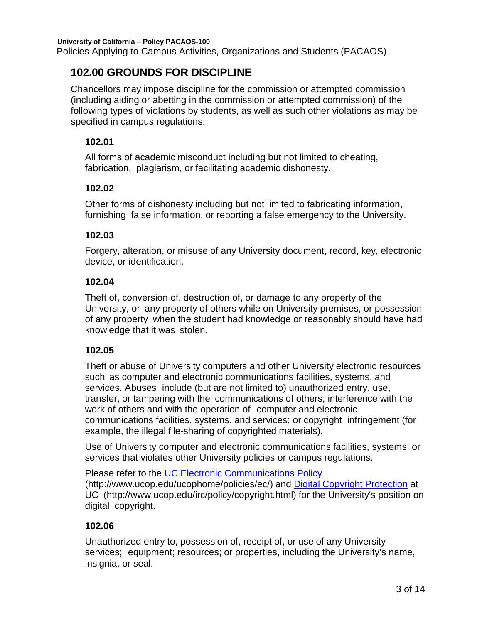Policies Applying to Campus Activities, Organizations and Students (PACAOS)

# **102.00 GROUNDS FOR DISCIPLINE**

Chancellors may impose discipline for the commission or attempted commission (including aiding or abetting in the commission or attempted commission) of the following types of violations by students, as well as such other violations as may be specified in campus regulations:

#### **102.01**

All forms of academic misconduct including but not limited to cheating, fabrication, plagiarism, or facilitating academic dishonesty.

#### **102.02**

Other forms of dishonesty including but not limited to fabricating information, furnishing false information, or reporting a false emergency to the University.

#### **102.03**

Forgery, alteration, or misuse of any University document, record, key, electronic device, or identification.

#### **102.04**

Theft of, conversion of, destruction of, or damage to any property of the University, or any property of others while on University premises, or possession of any property when the student had knowledge or reasonably should have had knowledge that it was stolen.

# **102.05**

Theft or abuse of University computers and other University electronic resources such as computer and electronic communications facilities, systems, and services. Abuses include (but are not limited to) unauthorized entry, use, transfer, or tampering with the communications of others; interference with the work of others and with the operation of computer and electronic communications facilities, systems, and services; or copyright infringement (for example, the illegal file-sharing of copyrighted materials).

Use of University computer and electronic communications facilities, systems, or services that violates other University policies or campus regulations.

Please refer to the UC [Electronic Communications](http://www.ucop.edu/ucophome/policies/ec/) Policy (http://www.ucop.edu/ucophome/policies/ec/) and Digital Copyright [Protection](http://www.ucop.edu/irc/policy/copyright.html) at UC (http://www.ucop.edu/irc/policy/copyright.html) for the University's position on digital copyright.

# **102.06**

Unauthorized entry to, possession of, receipt of, or use of any University services; equipment; resources; or properties, including the University's name, insignia, or seal.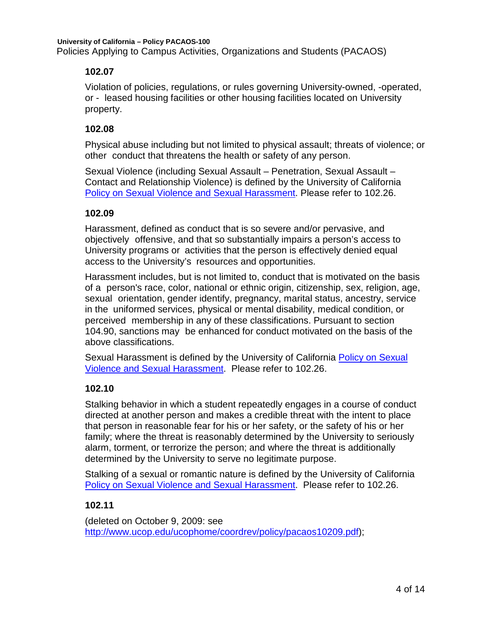**University of California – Policy PACAOS-100** Policies Applying to Campus Activities, Organizations and Students (PACAOS)

#### **102.07**

Violation of policies, regulations, or rules governing University-owned, -operated, or - leased housing facilities or other housing facilities located on University property.

#### **102.08**

Physical abuse including but not limited to physical assault; threats of violence; or other conduct that threatens the health or safety of any person.

Sexual Violence (including Sexual Assault – Penetration, Sexual Assault – Contact and Relationship Violence) is defined by the University of California [Policy on Sexual Violence and Sexual Harassment.](https://policy.ucop.edu/doc/4000385/SVSH) Please refer to 102.26.

#### **102.09**

Harassment, defined as conduct that is so severe and/or pervasive, and objectively offensive, and that so substantially impairs a person's access to University programs or activities that the person is effectively denied equal access to the University's resources and opportunities.

Harassment includes, but is not limited to, conduct that is motivated on the basis of a person's race, color, national or ethnic origin, citizenship, sex, religion, age, sexual orientation, gender identify, pregnancy, marital status, ancestry, service in the uniformed services, physical or mental disability, medical condition, or perceived membership in any of these classifications. Pursuant to section 104.90, sanctions may be enhanced for conduct motivated on the basis of the above classifications.

Sexual Harassment is defined by the University of California [Policy on Sexual](https://policy.ucop.edu/doc/4000385/SVSH)  [Violence and Sexual Harassment.](https://policy.ucop.edu/doc/4000385/SVSH) Please refer to 102.26.

# **102.10**

Stalking behavior in which a student repeatedly engages in a course of conduct directed at another person and makes a credible threat with the intent to place that person in reasonable fear for his or her safety, or the safety of his or her family; where the threat is reasonably determined by the University to seriously alarm, torment, or terrorize the person; and where the threat is additionally determined by the University to serve no legitimate purpose.

Stalking of a sexual or romantic nature is defined by the University of California [Policy on Sexual Violence and Sexual Harassment.](https://policy.ucop.edu/doc/4000385/SVSH) Please refer to 102.26.

# **102.11**

(deleted on October 9, 2009: see [http://www.ucop.edu/ucophome/coordrev/policy/pacaos10209.pdf\)](http://www.ucop.edu/ucophome/coordrev/policy/pacaos10209.pdf);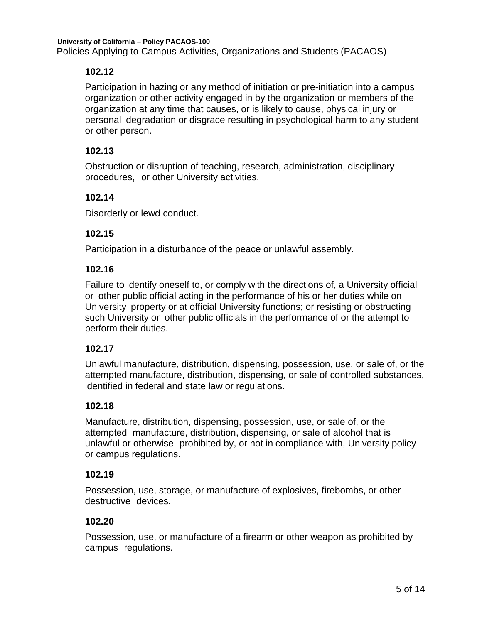Participation in hazing or any method of initiation or pre-initiation into a campus organization or other activity engaged in by the organization or members of the organization at any time that causes, or is likely to cause, physical injury or personal degradation or disgrace resulting in psychological harm to any student or other person.

#### **102.13**

Obstruction or disruption of teaching, research, administration, disciplinary procedures, or other University activities.

#### **102.14**

Disorderly or lewd conduct.

#### **102.15**

Participation in a disturbance of the peace or unlawful assembly.

#### **102.16**

Failure to identify oneself to, or comply with the directions of, a University official or other public official acting in the performance of his or her duties while on University property or at official University functions; or resisting or obstructing such University or other public officials in the performance of or the attempt to perform their duties.

# **102.17**

Unlawful manufacture, distribution, dispensing, possession, use, or sale of, or the attempted manufacture, distribution, dispensing, or sale of controlled substances, identified in federal and state law or regulations.

# **102.18**

Manufacture, distribution, dispensing, possession, use, or sale of, or the attempted manufacture, distribution, dispensing, or sale of alcohol that is unlawful or otherwise prohibited by, or not in compliance with, University policy or campus regulations.

#### **102.19**

Possession, use, storage, or manufacture of explosives, firebombs, or other destructive devices.

#### **102.20**

Possession, use, or manufacture of a firearm or other weapon as prohibited by campus regulations.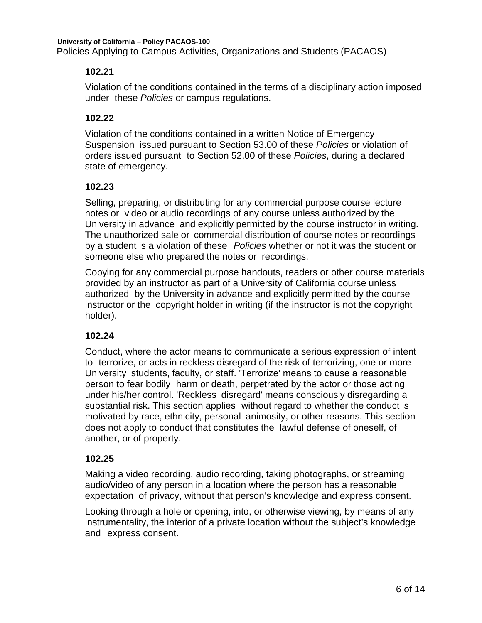Violation of the conditions contained in the terms of a disciplinary action imposed under these *Policies* or campus regulations.

#### **102.22**

Violation of the conditions contained in a written Notice of Emergency Suspension issued pursuant to Section 53.00 of these *Policies* or violation of orders issued pursuant to Section 52.00 of these *Policies*, during a declared state of emergency.

#### **102.23**

Selling, preparing, or distributing for any commercial purpose course lecture notes or video or audio recordings of any course unless authorized by the University in advance and explicitly permitted by the course instructor in writing. The unauthorized sale or commercial distribution of course notes or recordings by a student is a violation of these *Policies* whether or not it was the student or someone else who prepared the notes or recordings.

Copying for any commercial purpose handouts, readers or other course materials provided by an instructor as part of a University of California course unless authorized by the University in advance and explicitly permitted by the course instructor or the copyright holder in writing (if the instructor is not the copyright holder).

# **102.24**

Conduct, where the actor means to communicate a serious expression of intent to terrorize, or acts in reckless disregard of the risk of terrorizing, one or more University students, faculty, or staff. 'Terrorize' means to cause a reasonable person to fear bodily harm or death, perpetrated by the actor or those acting under his/her control. 'Reckless disregard' means consciously disregarding a substantial risk. This section applies without regard to whether the conduct is motivated by race, ethnicity, personal animosity, or other reasons. This section does not apply to conduct that constitutes the lawful defense of oneself, of another, or of property.

#### **102.25**

Making a video recording, audio recording, taking photographs, or streaming audio/video of any person in a location where the person has a reasonable expectation of privacy, without that person's knowledge and express consent.

Looking through a hole or opening, into, or otherwise viewing, by means of any instrumentality, the interior of a private location without the subject's knowledge and express consent.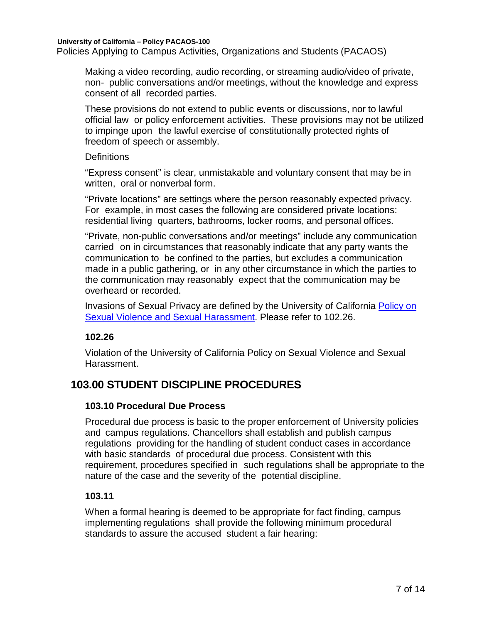Making a video recording, audio recording, or streaming audio/video of private, non- public conversations and/or meetings, without the knowledge and express consent of all recorded parties.

These provisions do not extend to public events or discussions, nor to lawful official law or policy enforcement activities. These provisions may not be utilized to impinge upon the lawful exercise of constitutionally protected rights of freedom of speech or assembly.

#### **Definitions**

"Express consent" is clear, unmistakable and voluntary consent that may be in written, oral or nonverbal form.

"Private locations" are settings where the person reasonably expected privacy. For example, in most cases the following are considered private locations: residential living quarters, bathrooms, locker rooms, and personal offices.

"Private, non-public conversations and/or meetings" include any communication carried on in circumstances that reasonably indicate that any party wants the communication to be confined to the parties, but excludes a communication made in a public gathering, or in any other circumstance in which the parties to the communication may reasonably expect that the communication may be overheard or recorded.

Invasions of Sexual Privacy are defined by the University of California [Policy on](https://policy.ucop.edu/doc/4000385/SVSH)  [Sexual Violence and Sexual Harassment.](https://policy.ucop.edu/doc/4000385/SVSH) Please refer to 102.26.

#### **102.26**

Violation of the University of California Policy on Sexual Violence and Sexual Harassment.

# **103.00 STUDENT DISCIPLINE PROCEDURES**

# **103.10 Procedural Due Process**

Procedural due process is basic to the proper enforcement of University policies and campus regulations. Chancellors shall establish and publish campus regulations providing for the handling of student conduct cases in accordance with basic standards of procedural due process. Consistent with this requirement, procedures specified in such regulations shall be appropriate to the nature of the case and the severity of the potential discipline.

#### **103.11**

When a formal hearing is deemed to be appropriate for fact finding, campus implementing regulations shall provide the following minimum procedural standards to assure the accused student a fair hearing: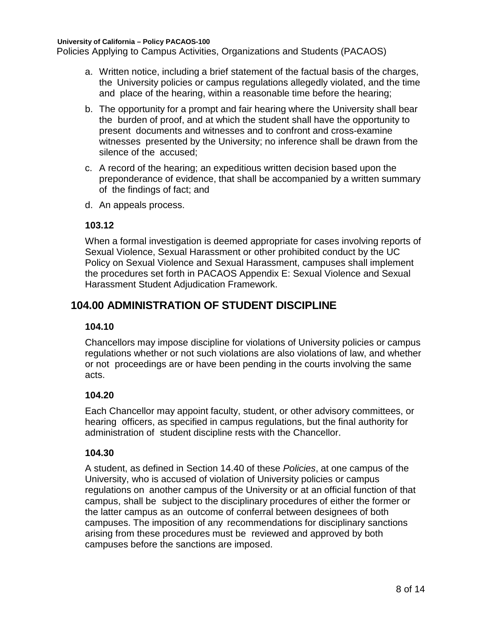Policies Applying to Campus Activities, Organizations and Students (PACAOS)

- a. Written notice, including a brief statement of the factual basis of the charges, the University policies or campus regulations allegedly violated, and the time and place of the hearing, within a reasonable time before the hearing;
- b. The opportunity for a prompt and fair hearing where the University shall bear the burden of proof, and at which the student shall have the opportunity to present documents and witnesses and to confront and cross-examine witnesses presented by the University; no inference shall be drawn from the silence of the accused;
- c. A record of the hearing; an expeditious written decision based upon the preponderance of evidence, that shall be accompanied by a written summary of the findings of fact; and
- d. An appeals process.

#### **103.12**

When a formal investigation is deemed appropriate for cases involving reports of Sexual Violence, Sexual Harassment or other prohibited conduct by the UC Policy on Sexual Violence and Sexual Harassment, campuses shall implement the procedures set forth in PACAOS Appendix E: Sexual Violence and Sexual Harassment Student Adjudication Framework.

# **104.00 ADMINISTRATION OF STUDENT DISCIPLINE**

#### **104.10**

Chancellors may impose discipline for violations of University policies or campus regulations whether or not such violations are also violations of law, and whether or not proceedings are or have been pending in the courts involving the same acts.

#### **104.20**

Each Chancellor may appoint faculty, student, or other advisory committees, or hearing officers, as specified in campus regulations, but the final authority for administration of student discipline rests with the Chancellor.

#### **104.30**

A student, as defined in Section 14.40 of these *Policies*, at one campus of the University, who is accused of violation of University policies or campus regulations on another campus of the University or at an official function of that campus, shall be subject to the disciplinary procedures of either the former or the latter campus as an outcome of conferral between designees of both campuses. The imposition of any recommendations for disciplinary sanctions arising from these procedures must be reviewed and approved by both campuses before the sanctions are imposed.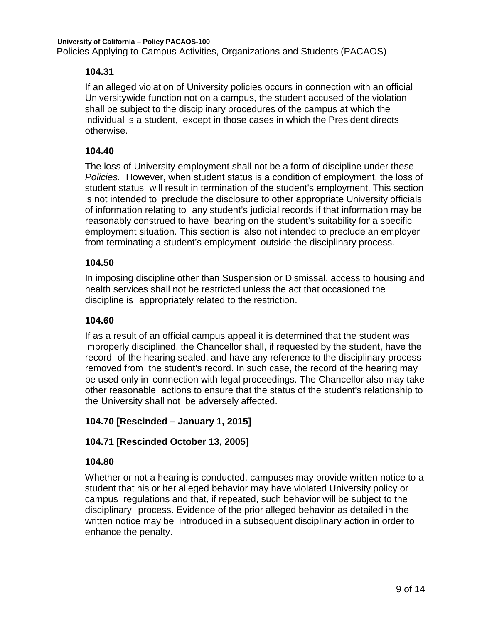If an alleged violation of University policies occurs in connection with an official Universitywide function not on a campus, the student accused of the violation shall be subject to the disciplinary procedures of the campus at which the individual is a student, except in those cases in which the President directs otherwise.

#### **104.40**

The loss of University employment shall not be a form of discipline under these *Policies*. However, when student status is a condition of employment, the loss of student status will result in termination of the student's employment. This section is not intended to preclude the disclosure to other appropriate University officials of information relating to any student's judicial records if that information may be reasonably construed to have bearing on the student's suitability for a specific employment situation. This section is also not intended to preclude an employer from terminating a student's employment outside the disciplinary process.

#### **104.50**

In imposing discipline other than Suspension or Dismissal, access to housing and health services shall not be restricted unless the act that occasioned the discipline is appropriately related to the restriction.

#### **104.60**

If as a result of an official campus appeal it is determined that the student was improperly disciplined, the Chancellor shall, if requested by the student, have the record of the hearing sealed, and have any reference to the disciplinary process removed from the student's record. In such case, the record of the hearing may be used only in connection with legal proceedings. The Chancellor also may take other reasonable actions to ensure that the status of the student's relationship to the University shall not be adversely affected.

#### **104.70 [Rescinded – January 1, 2015]**

#### **104.71 [Rescinded October 13, 2005]**

#### **104.80**

Whether or not a hearing is conducted, campuses may provide written notice to a student that his or her alleged behavior may have violated University policy or campus regulations and that, if repeated, such behavior will be subject to the disciplinary process. Evidence of the prior alleged behavior as detailed in the written notice may be introduced in a subsequent disciplinary action in order to enhance the penalty.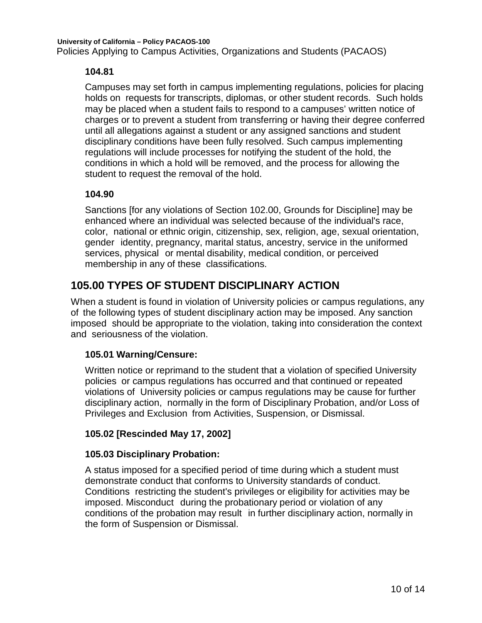Campuses may set forth in campus implementing regulations, policies for placing holds on requests for transcripts, diplomas, or other student records. Such holds may be placed when a student fails to respond to a campuses' written notice of charges or to prevent a student from transferring or having their degree conferred until all allegations against a student or any assigned sanctions and student disciplinary conditions have been fully resolved. Such campus implementing regulations will include processes for notifying the student of the hold, the conditions in which a hold will be removed, and the process for allowing the student to request the removal of the hold.

# **104.90**

Sanctions [for any violations of Section 102.00, Grounds for Discipline] may be enhanced where an individual was selected because of the individual's race, color, national or ethnic origin, citizenship, sex, religion, age, sexual orientation, gender identity, pregnancy, marital status, ancestry, service in the uniformed services, physical or mental disability, medical condition, or perceived membership in any of these classifications.

# **105.00 TYPES OF STUDENT DISCIPLINARY ACTION**

When a student is found in violation of University policies or campus regulations, any of the following types of student disciplinary action may be imposed. Any sanction imposed should be appropriate to the violation, taking into consideration the context and seriousness of the violation.

# **105.01 Warning/Censure:**

Written notice or reprimand to the student that a violation of specified University policies or campus regulations has occurred and that continued or repeated violations of University policies or campus regulations may be cause for further disciplinary action, normally in the form of Disciplinary Probation, and/or Loss of Privileges and Exclusion from Activities, Suspension, or Dismissal.

# **105.02 [Rescinded May 17, 2002]**

# **105.03 Disciplinary Probation:**

A status imposed for a specified period of time during which a student must demonstrate conduct that conforms to University standards of conduct. Conditions restricting the student's privileges or eligibility for activities may be imposed. Misconduct during the probationary period or violation of any conditions of the probation may result in further disciplinary action, normally in the form of Suspension or Dismissal.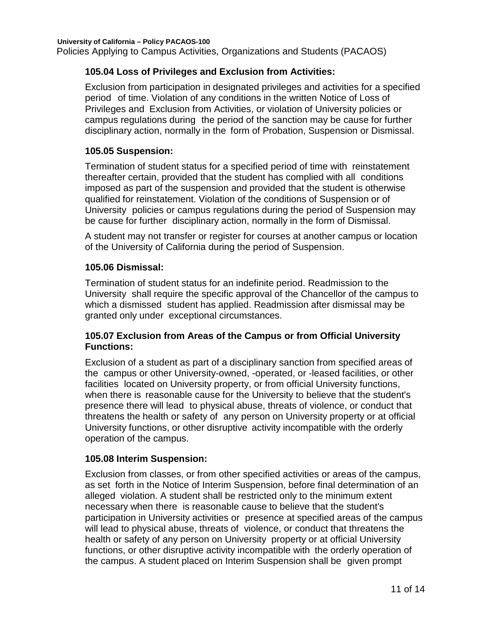Policies Applying to Campus Activities, Organizations and Students (PACAOS)

#### **105.04 Loss of Privileges and Exclusion from Activities:**

Exclusion from participation in designated privileges and activities for a specified period of time. Violation of any conditions in the written Notice of Loss of Privileges and Exclusion from Activities, or violation of University policies or campus regulations during the period of the sanction may be cause for further disciplinary action, normally in the form of Probation, Suspension or Dismissal.

#### **105.05 Suspension:**

Termination of student status for a specified period of time with reinstatement thereafter certain, provided that the student has complied with all conditions imposed as part of the suspension and provided that the student is otherwise qualified for reinstatement. Violation of the conditions of Suspension or of University policies or campus regulations during the period of Suspension may be cause for further disciplinary action, normally in the form of Dismissal.

A student may not transfer or register for courses at another campus or location of the University of California during the period of Suspension.

#### **105.06 Dismissal:**

Termination of student status for an indefinite period. Readmission to the University shall require the specific approval of the Chancellor of the campus to which a dismissed student has applied. Readmission after dismissal may be granted only under exceptional circumstances.

#### **105.07 Exclusion from Areas of the Campus or from Official University Functions:**

Exclusion of a student as part of a disciplinary sanction from specified areas of the campus or other University-owned, -operated, or -leased facilities, or other facilities located on University property, or from official University functions, when there is reasonable cause for the University to believe that the student's presence there will lead to physical abuse, threats of violence, or conduct that threatens the health or safety of any person on University property or at official University functions, or other disruptive activity incompatible with the orderly operation of the campus.

#### **105.08 Interim Suspension:**

Exclusion from classes, or from other specified activities or areas of the campus, as set forth in the Notice of Interim Suspension, before final determination of an alleged violation. A student shall be restricted only to the minimum extent necessary when there is reasonable cause to believe that the student's participation in University activities or presence at specified areas of the campus will lead to physical abuse, threats of violence, or conduct that threatens the health or safety of any person on University property or at official University functions, or other disruptive activity incompatible with the orderly operation of the campus. A student placed on Interim Suspension shall be given prompt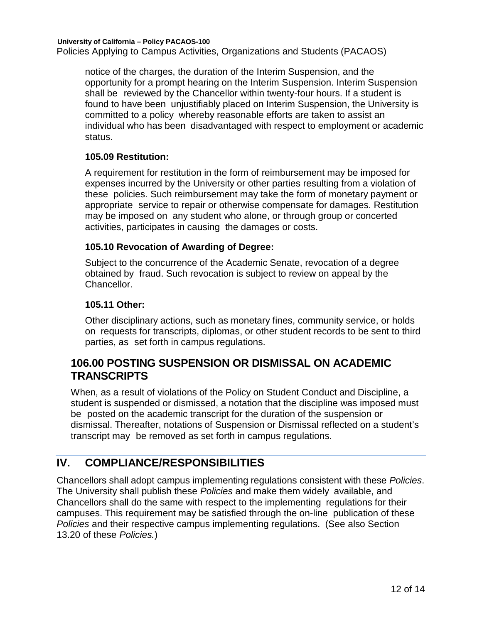**University of California – Policy PACAOS-100** Policies Applying to Campus Activities, Organizations and Students (PACAOS)

notice of the charges, the duration of the Interim Suspension, and the opportunity for a prompt hearing on the Interim Suspension. Interim Suspension shall be reviewed by the Chancellor within twenty-four hours. If a student is found to have been unjustifiably placed on Interim Suspension, the University is committed to a policy whereby reasonable efforts are taken to assist an individual who has been disadvantaged with respect to employment or academic status.

#### **105.09 Restitution:**

A requirement for restitution in the form of reimbursement may be imposed for expenses incurred by the University or other parties resulting from a violation of these policies. Such reimbursement may take the form of monetary payment or appropriate service to repair or otherwise compensate for damages. Restitution may be imposed on any student who alone, or through group or concerted activities, participates in causing the damages or costs.

#### **105.10 Revocation of Awarding of Degree:**

Subject to the concurrence of the Academic Senate, revocation of a degree obtained by fraud. Such revocation is subject to review on appeal by the Chancellor.

#### **105.11 Other:**

Other disciplinary actions, such as monetary fines, community service, or holds on requests for transcripts, diplomas, or other student records to be sent to third parties, as set forth in campus regulations.

# **106.00 POSTING SUSPENSION OR DISMISSAL ON ACADEMIC TRANSCRIPTS**

When, as a result of violations of the Policy on Student Conduct and Discipline, a student is suspended or dismissed, a notation that the discipline was imposed must be posted on the academic transcript for the duration of the suspension or dismissal. Thereafter, notations of Suspension or Dismissal reflected on a student's transcript may be removed as set forth in campus regulations.

# <span id="page-11-0"></span>**IV. COMPLIANCE/RESPONSIBILITIES**

<span id="page-11-1"></span>Chancellors shall adopt campus implementing regulations consistent with these *Policies*. The University shall publish these *Policies* and make them widely available, and Chancellors shall do the same with respect to the implementing regulations for their campuses. This requirement may be satisfied through the on-line publication of these *Policies* and their respective campus implementing regulations. (See also Section 13.20 of these *Policies.*)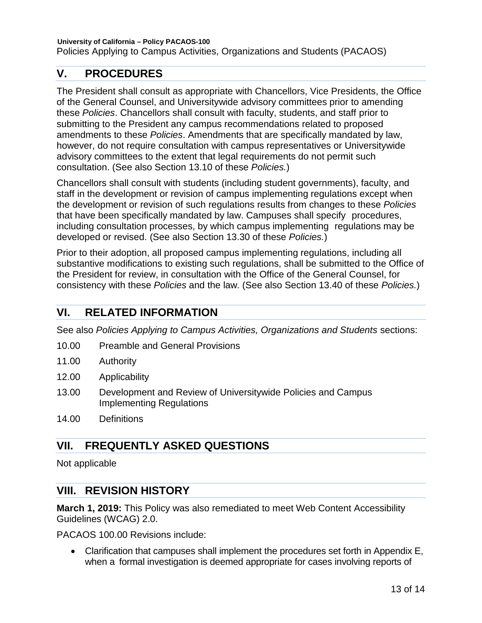# **V. PROCEDURES**

The President shall consult as appropriate with Chancellors, Vice Presidents, the Office of the General Counsel, and Universitywide advisory committees prior to amending these *Policies*. Chancellors shall consult with faculty, students, and staff prior to submitting to the President any campus recommendations related to proposed amendments to these *Policies*. Amendments that are specifically mandated by law, however, do not require consultation with campus representatives or Universitywide advisory committees to the extent that legal requirements do not permit such consultation. (See also Section 13.10 of these *Policies.*)

Chancellors shall consult with students (including student governments), faculty, and staff in the development or revision of campus implementing regulations except when the development or revision of such regulations results from changes to these *Policies* that have been specifically mandated by law. Campuses shall specify procedures, including consultation processes, by which campus implementing regulations may be developed or revised. (See also Section 13.30 of these *Policies.*)

Prior to their adoption, all proposed campus implementing regulations, including all substantive modifications to existing such regulations, shall be submitted to the Office of the President for review, in consultation with the Office of the General Counsel, for consistency with these *Policies* and the law. (See also Section 13.40 of these *Policies.*)

# <span id="page-12-0"></span>**VI. RELATED INFORMATION**

See also *Policies Applying to Campus Activities, Organizations and Students* sections:

- 10.00 Preamble and General [Provisions](http://www.ucop.edu/ucophome/coordrev/ucpolicies/aos/toc140.html)
- 11.00 [Authority](http://www.ucop.edu/ucophome/coordrev/ucpolicies/aos/toc150.html)
- 12.00 [Applicability](http://www.ucop.edu/ucophome/coordrev/ucpolicies/aos/toc160.html)
- 13.00 Development and Review of Universitywide Policies and Campus Implementing Regulations
- <span id="page-12-1"></span>14.00 Definitions

# **VII. FREQUENTLY ASKED QUESTIONS**

Not applicable

# <span id="page-12-2"></span>**VIII. REVISION HISTORY**

**March 1, 2019:** This Policy was also remediated to meet Web Content Accessibility Guidelines (WCAG) 2.0.

PACAOS 100.00 Revisions include:

• Clarification that campuses shall implement the procedures set forth in Appendix E, when a formal investigation is deemed appropriate for cases involving reports of